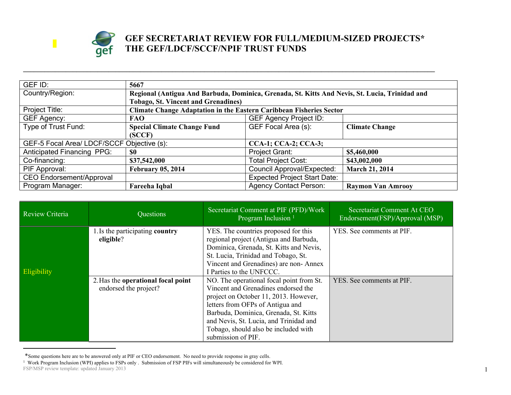

## **GEF SECRETARIAT REVIEW FOR FULL/MEDIUM-SIZED PROJECTS\* THE GEF/LDCF/SCCF/NPIF TRUST FUNDS**

| GEF ID:                                    | 5667                                                                       |                                                                                                |                          |  |  |
|--------------------------------------------|----------------------------------------------------------------------------|------------------------------------------------------------------------------------------------|--------------------------|--|--|
| Country/Region:                            |                                                                            | Regional (Antigua And Barbuda, Dominica, Grenada, St. Kitts And Nevis, St. Lucia, Trinidad and |                          |  |  |
|                                            | <b>Tobago, St. Vincent and Grenadines)</b>                                 |                                                                                                |                          |  |  |
| Project Title:                             | <b>Climate Change Adaptation in the Eastern Caribbean Fisheries Sector</b> |                                                                                                |                          |  |  |
| GEF Agency:                                | <b>FAO</b>                                                                 | <b>GEF Agency Project ID:</b>                                                                  |                          |  |  |
| Type of Trust Fund:                        | <b>Special Climate Change Fund</b>                                         | GEF Focal Area (s):                                                                            | <b>Climate Change</b>    |  |  |
|                                            | (SCCF)                                                                     |                                                                                                |                          |  |  |
| GEF-5 Focal Area/ LDCF/SCCF Objective (s): |                                                                            | <b>CCA-1; CCA-2; CCA-3;</b>                                                                    |                          |  |  |
| <b>Anticipated Financing PPG:</b>          | -80                                                                        | Project Grant:                                                                                 | \$5,460,000              |  |  |
| Co-financing:                              | \$37,542,000                                                               | <b>Total Project Cost:</b>                                                                     | \$43,002,000             |  |  |
| PIF Approval:                              | <b>February 05, 2014</b>                                                   | <b>Council Approval/Expected:</b>                                                              | <b>March 21, 2014</b>    |  |  |
| <b>CEO Endorsement/Approval</b>            |                                                                            | <b>Expected Project Start Date:</b>                                                            |                          |  |  |
| Program Manager:                           | Fareeha Iqbal                                                              | <b>Agency Contact Person:</b>                                                                  | <b>Raymon Van Amrooy</b> |  |  |

**\_\_\_\_\_\_\_\_\_\_\_\_\_\_\_\_\_\_\_\_\_\_\_\_\_\_\_\_\_\_\_\_\_\_\_\_\_\_\_\_\_\_\_\_\_\_\_\_\_\_\_\_\_\_\_\_\_\_\_\_\_\_\_\_\_\_\_\_\_\_\_\_\_\_\_\_\_\_\_\_\_\_\_\_\_\_\_\_\_\_\_\_\_\_\_\_\_\_\_\_\_\_\_\_\_\_\_\_\_\_\_\_\_\_\_\_**

| <b>Review Criteria</b> | Questions                                                   | Secretariat Comment at PIF (PFD)/Work<br>Program Inclusion <sup>1</sup>                                                                                                                                                                                                                                       | Secretariat Comment At CEO<br>Endorsement(FSP)/Approval (MSP) |
|------------------------|-------------------------------------------------------------|---------------------------------------------------------------------------------------------------------------------------------------------------------------------------------------------------------------------------------------------------------------------------------------------------------------|---------------------------------------------------------------|
| <b>Eligibility</b>     | 1. Is the participating country<br>eligible?                | YES. The countries proposed for this<br>regional project (Antigua and Barbuda,<br>Dominica, Grenada, St. Kitts and Nevis,<br>St. Lucia, Trinidad and Tobago, St.<br>Vincent and Grenadines) are non-Annex<br>I Parties to the UNFCCC.                                                                         | YES. See comments at PIF.                                     |
|                        | 2. Has the operational focal point<br>endorsed the project? | NO. The operational focal point from St.<br>Vincent and Grenadines endorsed the<br>project on October 11, 2013. However,<br>letters from OFPs of Antigua and<br>Barbuda, Dominica, Grenada, St. Kitts<br>and Nevis, St. Lucia, and Trinidad and<br>Tobago, should also be included with<br>submission of PIF. | YES. See comments at PIF.                                     |

<sup>\*</sup>Some questions here are to be answered only at PIF or CEO endorsement. No need to provide response in gray cells.

FSP/MSP review template: updated January 2013 1 Work Program Inclusion (WPI) applies to FSPs only . Submission of FSP PIFs will simultaneously be considered for WPI.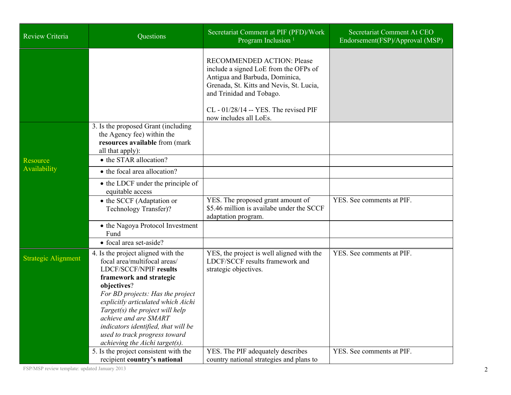| Review Criteria            | Questions                                                                                                                                                                                                                                                                                                                                                                              | Secretariat Comment at PIF (PFD)/Work<br>Program Inclusion <sup>1</sup>                                                                                                                                                                                   | Secretariat Comment At CEO<br>Endorsement(FSP)/Approval (MSP) |
|----------------------------|----------------------------------------------------------------------------------------------------------------------------------------------------------------------------------------------------------------------------------------------------------------------------------------------------------------------------------------------------------------------------------------|-----------------------------------------------------------------------------------------------------------------------------------------------------------------------------------------------------------------------------------------------------------|---------------------------------------------------------------|
|                            |                                                                                                                                                                                                                                                                                                                                                                                        | <b>RECOMMENDED ACTION: Please</b><br>include a signed LoE from the OFPs of<br>Antigua and Barbuda, Dominica,<br>Grenada, St. Kitts and Nevis, St. Lucia,<br>and Trinidad and Tobago.<br>$CL - 01/28/14 - YES$ . The revised PIF<br>now includes all LoEs. |                                                               |
| Resource                   | 3. Is the proposed Grant (including)<br>the Agency fee) within the<br>resources available from (mark<br>all that apply):<br>• the STAR allocation?                                                                                                                                                                                                                                     |                                                                                                                                                                                                                                                           |                                                               |
| Availability               | • the focal area allocation?                                                                                                                                                                                                                                                                                                                                                           |                                                                                                                                                                                                                                                           |                                                               |
|                            | • the LDCF under the principle of<br>equitable access                                                                                                                                                                                                                                                                                                                                  |                                                                                                                                                                                                                                                           |                                                               |
|                            | • the SCCF (Adaptation or<br>Technology Transfer)?                                                                                                                                                                                                                                                                                                                                     | YES. The proposed grant amount of<br>\$5.46 million is availabe under the SCCF<br>adaptation program.                                                                                                                                                     | YES. See comments at PIF.                                     |
|                            | • the Nagoya Protocol Investment<br>Fund                                                                                                                                                                                                                                                                                                                                               |                                                                                                                                                                                                                                                           |                                                               |
|                            | • focal area set-aside?                                                                                                                                                                                                                                                                                                                                                                |                                                                                                                                                                                                                                                           |                                                               |
| <b>Strategic Alignment</b> | 4. Is the project aligned with the<br>focal area/multifocal areas/<br>LDCF/SCCF/NPIF results<br>framework and strategic<br>objectives?<br>For BD projects: Has the project<br>explicitly articulated which Aichi<br>Target(s) the project will help<br>achieve and are SMART<br>indicators identified, that will be<br>used to track progress toward<br>achieving the Aichi target(s). | YES, the project is well aligned with the<br>LDCF/SCCF results framework and<br>strategic objectives.                                                                                                                                                     | YES. See comments at PIF.                                     |
|                            | 5. Is the project consistent with the<br>recipient country's national                                                                                                                                                                                                                                                                                                                  | YES. The PIF adequately describes<br>country national strategies and plans to                                                                                                                                                                             | YES. See comments at PIF.                                     |

FSP/MSP review template: updated January 2013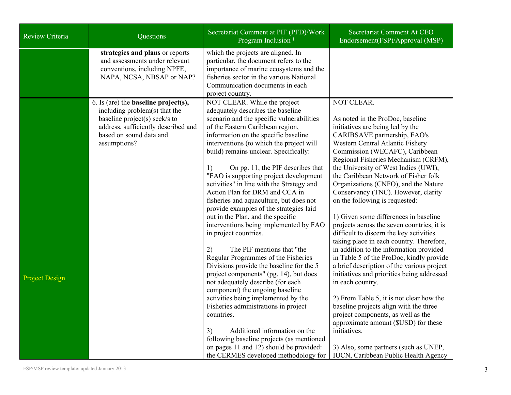| Review Criteria       | Questions                                                                                                                                                                                          | Secretariat Comment at PIF (PFD)/Work<br>Program Inclusion <sup>1</sup>                                                                                                                                                                                                                                                                                                                                                                                                                                                                                                                                                                                                                                                                                                                                                                                                                                                                                                                                                                                                                                                                                        | Secretariat Comment At CEO<br>Endorsement(FSP)/Approval (MSP)                                                                                                                                                                                                                                                                                                                                                                                                                                                                                                                                                                                                                                                                                                                                                                                                                                                                                                                                                                                                                                      |
|-----------------------|----------------------------------------------------------------------------------------------------------------------------------------------------------------------------------------------------|----------------------------------------------------------------------------------------------------------------------------------------------------------------------------------------------------------------------------------------------------------------------------------------------------------------------------------------------------------------------------------------------------------------------------------------------------------------------------------------------------------------------------------------------------------------------------------------------------------------------------------------------------------------------------------------------------------------------------------------------------------------------------------------------------------------------------------------------------------------------------------------------------------------------------------------------------------------------------------------------------------------------------------------------------------------------------------------------------------------------------------------------------------------|----------------------------------------------------------------------------------------------------------------------------------------------------------------------------------------------------------------------------------------------------------------------------------------------------------------------------------------------------------------------------------------------------------------------------------------------------------------------------------------------------------------------------------------------------------------------------------------------------------------------------------------------------------------------------------------------------------------------------------------------------------------------------------------------------------------------------------------------------------------------------------------------------------------------------------------------------------------------------------------------------------------------------------------------------------------------------------------------------|
|                       | strategies and plans or reports<br>and assessments under relevant<br>conventions, including NPFE,<br>NAPA, NCSA, NBSAP or NAP?                                                                     | which the projects are aligned. In<br>particular, the document refers to the<br>importance of marine ecosystems and the<br>fisheries sector in the various National<br>Communication documents in each<br>project country.                                                                                                                                                                                                                                                                                                                                                                                                                                                                                                                                                                                                                                                                                                                                                                                                                                                                                                                                     |                                                                                                                                                                                                                                                                                                                                                                                                                                                                                                                                                                                                                                                                                                                                                                                                                                                                                                                                                                                                                                                                                                    |
| <b>Project Design</b> | 6. Is (are) the <b>baseline</b> $project(s)$ ,<br>including problem(s) that the<br>baseline project(s) seek/s to<br>address, sufficiently described and<br>based on sound data and<br>assumptions? | NOT CLEAR. While the project<br>adequately describes the baseline<br>scenario and the specific vulnerabilities<br>of the Eastern Caribbean region,<br>information on the specific baseline<br>interventions (to which the project will<br>build) remains unclear. Specifically:<br>On pg. 11, the PIF describes that<br>1)<br>"FAO is supporting project development<br>activities" in line with the Strategy and<br>Action Plan for DRM and CCA in<br>fisheries and aquaculture, but does not<br>provide examples of the strategies laid<br>out in the Plan, and the specific<br>interventions being implemented by FAO<br>in project countries.<br>The PIF mentions that "the<br>2)<br>Regular Programmes of the Fisheries<br>Divisions provide the baseline for the 5<br>project components" (pg. 14), but does<br>not adequately describe (for each<br>component) the ongoing baseline<br>activities being implemented by the<br>Fisheries administrations in project<br>countries.<br>Additional information on the<br>3)<br>following baseline projects (as mentioned<br>on pages 11 and 12) should be provided:<br>the CERMES developed methodology for | NOT CLEAR.<br>As noted in the ProDoc, baseline<br>initiatives are being led by the<br>CARIBSAVE partnership, FAO's<br>Western Central Atlantic Fishery<br>Commission (WECAFC), Caribbean<br>Regional Fisheries Mechanism (CRFM),<br>the University of West Indies (UWI),<br>the Caribbean Network of Fisher folk<br>Organizations (CNFO), and the Nature<br>Conservancy (TNC). However, clarity<br>on the following is requested:<br>1) Given some differences in baseline<br>projects across the seven countries, it is<br>difficult to discern the key activities<br>taking place in each country. Therefore,<br>in addition to the information provided<br>in Table 5 of the ProDoc, kindly provide<br>a brief description of the various project<br>initiatives and priorities being addressed<br>in each country.<br>2) From Table 5, it is not clear how the<br>baseline projects align with the three<br>project components, as well as the<br>approximate amount (\$USD) for these<br>initiatives.<br>3) Also, some partners (such as UNEP,<br><b>IUCN, Caribbean Public Health Agency</b> |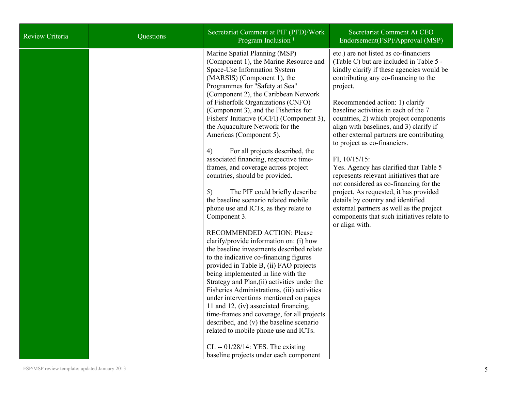| Review Criteria | Questions | Secretariat Comment at PIF (PFD)/Work<br>Program Inclusion <sup>1</sup>                                                                                                                                                                                                                                                                                                                                                                                                                                                                                                                                                                                                                                                                                                                                                                                                                                                                                                                                                                                                                                                                                                                                                                                                                                                                                              | Secretariat Comment At CEO<br>Endorsement(FSP)/Approval (MSP)                                                                                                                                                                                                                                                                                                                                                                                                                                                                                                                                                                                                                                                                                                               |
|-----------------|-----------|----------------------------------------------------------------------------------------------------------------------------------------------------------------------------------------------------------------------------------------------------------------------------------------------------------------------------------------------------------------------------------------------------------------------------------------------------------------------------------------------------------------------------------------------------------------------------------------------------------------------------------------------------------------------------------------------------------------------------------------------------------------------------------------------------------------------------------------------------------------------------------------------------------------------------------------------------------------------------------------------------------------------------------------------------------------------------------------------------------------------------------------------------------------------------------------------------------------------------------------------------------------------------------------------------------------------------------------------------------------------|-----------------------------------------------------------------------------------------------------------------------------------------------------------------------------------------------------------------------------------------------------------------------------------------------------------------------------------------------------------------------------------------------------------------------------------------------------------------------------------------------------------------------------------------------------------------------------------------------------------------------------------------------------------------------------------------------------------------------------------------------------------------------------|
|                 |           | Marine Spatial Planning (MSP)<br>(Component 1), the Marine Resource and<br>Space-Use Information System<br>(MARSIS) (Component 1), the<br>Programmes for "Safety at Sea"<br>(Component 2), the Caribbean Network<br>of Fisherfolk Organizations (CNFO)<br>(Component 3), and the Fisheries for<br>Fishers' Initiative (GCFI) (Component 3),<br>the Aquaculture Network for the<br>Americas (Component 5).<br>4)<br>For all projects described, the<br>associated financing, respective time-<br>frames, and coverage across project<br>countries, should be provided.<br>5)<br>The PIF could briefly describe<br>the baseline scenario related mobile<br>phone use and ICTs, as they relate to<br>Component 3.<br>RECOMMENDED ACTION: Please<br>clarify/provide information on: (i) how<br>the baseline investments described relate<br>to the indicative co-financing figures<br>provided in Table B, (ii) FAO projects<br>being implemented in line with the<br>Strategy and Plan, (ii) activities under the<br>Fisheries Administrations, (iii) activities<br>under interventions mentioned on pages<br>11 and 12, (iv) associated financing,<br>time-frames and coverage, for all projects<br>described, and (v) the baseline scenario<br>related to mobile phone use and ICTs.<br>$CL - 01/28/14$ : YES. The existing<br>baseline projects under each component | etc.) are not listed as co-financiers<br>(Table C) but are included in Table 5 -<br>kindly clarify if these agencies would be<br>contributing any co-financing to the<br>project.<br>Recommended action: 1) clarify<br>baseline activities in each of the 7<br>countries, 2) which project components<br>align with baselines, and 3) clarify if<br>other external partners are contributing<br>to project as co-financiers.<br>FI, $10/15/15$ :<br>Yes. Agency has clarified that Table 5<br>represents relevant initiatives that are<br>not considered as co-financing for the<br>project. As requested, it has provided<br>details by country and identified<br>external partners as well as the project<br>components that such initiatives relate to<br>or align with. |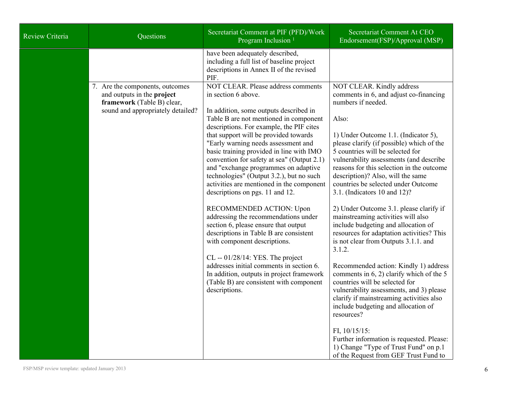| Review Criteria | Questions                                                                                                                        | Secretariat Comment at PIF (PFD)/Work<br>Program Inclusion <sup>1</sup>                                                                                                                                                                                                                                                                                                                                                                                                                                                                                                                                                                                                                                                                                                                                                                                                                                                  | Secretariat Comment At CEO<br>Endorsement(FSP)/Approval (MSP)                                                                                                                                                                                                                                                                                                                                                                                                                                                                                                                                                                                                                                                                                                                                                                                                                                                                                                                                                                                                                 |
|-----------------|----------------------------------------------------------------------------------------------------------------------------------|--------------------------------------------------------------------------------------------------------------------------------------------------------------------------------------------------------------------------------------------------------------------------------------------------------------------------------------------------------------------------------------------------------------------------------------------------------------------------------------------------------------------------------------------------------------------------------------------------------------------------------------------------------------------------------------------------------------------------------------------------------------------------------------------------------------------------------------------------------------------------------------------------------------------------|-------------------------------------------------------------------------------------------------------------------------------------------------------------------------------------------------------------------------------------------------------------------------------------------------------------------------------------------------------------------------------------------------------------------------------------------------------------------------------------------------------------------------------------------------------------------------------------------------------------------------------------------------------------------------------------------------------------------------------------------------------------------------------------------------------------------------------------------------------------------------------------------------------------------------------------------------------------------------------------------------------------------------------------------------------------------------------|
|                 |                                                                                                                                  | have been adequately described,<br>including a full list of baseline project<br>descriptions in Annex II of the revised<br>PIF.                                                                                                                                                                                                                                                                                                                                                                                                                                                                                                                                                                                                                                                                                                                                                                                          |                                                                                                                                                                                                                                                                                                                                                                                                                                                                                                                                                                                                                                                                                                                                                                                                                                                                                                                                                                                                                                                                               |
|                 | 7. Are the components, outcomes<br>and outputs in the project<br>framework (Table B) clear,<br>sound and appropriately detailed? | NOT CLEAR. Please address comments<br>in section 6 above.<br>In addition, some outputs described in<br>Table B are not mentioned in component<br>descriptions. For example, the PIF cites<br>that support will be provided towards<br>"Early warning needs assessment and<br>basic training provided in line with IMO<br>convention for safety at sea" (Output 2.1)<br>and "exchange programmes on adaptive<br>technologies" (Output 3.2.), but no such<br>activities are mentioned in the component<br>descriptions on pgs. 11 and 12.<br>RECOMMENDED ACTION: Upon<br>addressing the recommendations under<br>section 6, please ensure that output<br>descriptions in Table B are consistent<br>with component descriptions.<br>$CL - 01/28/14$ : YES. The project<br>addresses initial comments in section 6.<br>In addition, outputs in project framework<br>(Table B) are consistent with component<br>descriptions. | NOT CLEAR. Kindly address<br>comments in 6, and adjust co-financing<br>numbers if needed.<br>Also:<br>1) Under Outcome 1.1. (Indicator 5),<br>please clarify (if possible) which of the<br>5 countries will be selected for<br>vulnerability assessments (and describe<br>reasons for this selection in the outcome<br>description)? Also, will the same<br>countries be selected under Outcome<br>3.1. (Indicators 10 and 12)?<br>2) Under Outcome 3.1. please clarify if<br>mainstreaming activities will also<br>include budgeting and allocation of<br>resources for adaptation activities? This<br>is not clear from Outputs 3.1.1. and<br>3.1.2.<br>Recommended action: Kindly 1) address<br>comments in 6, 2) clarify which of the 5<br>countries will be selected for<br>vulnerability assessments, and 3) please<br>clarify if mainstreaming activities also<br>include budgeting and allocation of<br>resources?<br>FI, $10/15/15$ :<br>Further information is requested. Please:<br>1) Change "Type of Trust Fund" on p.1<br>of the Request from GEF Trust Fund to |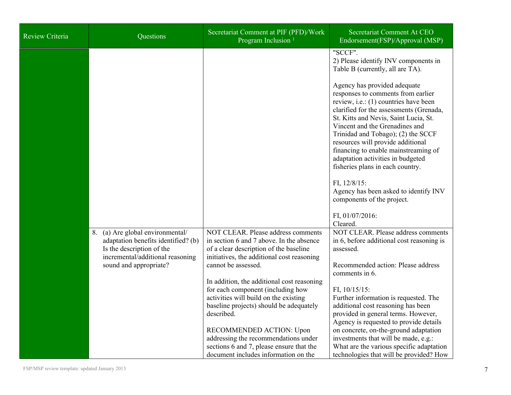| <b>Review Criteria</b> | Questions                                                                                                                                                          | Secretariat Comment at PIF (PFD)/Work<br>Program Inclusion <sup>1</sup>                                                                                                                                                                                                                                                                                                                                                                                                                                                                    | Secretariat Comment At CEO<br>Endorsement(FSP)/Approval (MSP)                                                                                                                                                                                                                                                                                                                                                                                                                                                                           |
|------------------------|--------------------------------------------------------------------------------------------------------------------------------------------------------------------|--------------------------------------------------------------------------------------------------------------------------------------------------------------------------------------------------------------------------------------------------------------------------------------------------------------------------------------------------------------------------------------------------------------------------------------------------------------------------------------------------------------------------------------------|-----------------------------------------------------------------------------------------------------------------------------------------------------------------------------------------------------------------------------------------------------------------------------------------------------------------------------------------------------------------------------------------------------------------------------------------------------------------------------------------------------------------------------------------|
|                        |                                                                                                                                                                    |                                                                                                                                                                                                                                                                                                                                                                                                                                                                                                                                            | "SCCF".<br>2) Please identify INV components in<br>Table B (currently, all are TA).<br>Agency has provided adequate<br>responses to comments from earlier<br>review, i.e.: (1) countries have been<br>clarified for the assessments (Grenada,<br>St. Kitts and Nevis, Saint Lucia, St.<br>Vincent and the Grenadines and<br>Trinidad and Tobago); (2) the SCCF<br>resources will provide additional<br>financing to enable mainstreaming of<br>adaptation activities in budgeted<br>fisheries plans in each country.<br>FI, $12/8/15$ : |
|                        |                                                                                                                                                                    |                                                                                                                                                                                                                                                                                                                                                                                                                                                                                                                                            | Agency has been asked to identify INV<br>components of the project.<br>FI, 01/07/2016:                                                                                                                                                                                                                                                                                                                                                                                                                                                  |
|                        | 8. (a) Are global environmental/<br>adaptation benefits identified? (b)<br>Is the description of the<br>incremental/additional reasoning<br>sound and appropriate? | NOT CLEAR. Please address comments<br>in section 6 and 7 above. In the absence<br>of a clear description of the baseline<br>initiatives, the additional cost reasoning<br>cannot be assessed.<br>In addition, the additional cost reasoning<br>for each component (including how<br>activities will build on the existing<br>baseline projects) should be adequately<br>described.<br>RECOMMENDED ACTION: Upon<br>addressing the recommendations under<br>sections 6 and 7, please ensure that the<br>document includes information on the | Cleared.<br>NOT CLEAR. Please address comments<br>in 6, before additional cost reasoning is<br>assessed.<br>Recommended action: Please address<br>comments in 6.<br>FI, $10/15/15$ :<br>Further information is requested. The<br>additional cost reasoning has been<br>provided in general terms. However,<br>Agency is requested to provide details<br>on concrete, on-the-ground adaptation<br>investments that will be made, e.g.:<br>What are the various specific adaptation<br>technologies that will be provided? How            |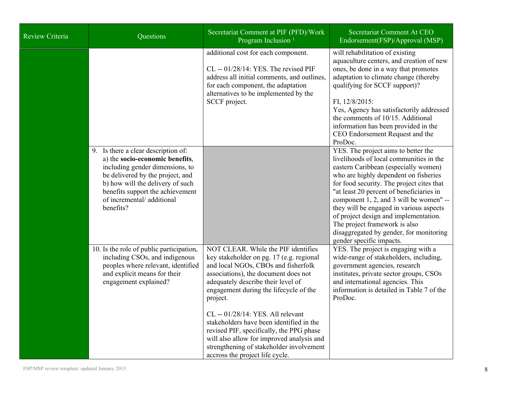| <b>Review Criteria</b> | Questions                                                                                                                                                                                                                                                       | Secretariat Comment at PIF (PFD)/Work<br>Program Inclusion <sup>1</sup>                                                                                                                                                                                                                                                                                                                                                                                                                                             | Secretariat Comment At CEO<br>Endorsement(FSP)/Approval (MSP)                                                                                                                                                                                                                                                                                                                                                                                                                                   |
|------------------------|-----------------------------------------------------------------------------------------------------------------------------------------------------------------------------------------------------------------------------------------------------------------|---------------------------------------------------------------------------------------------------------------------------------------------------------------------------------------------------------------------------------------------------------------------------------------------------------------------------------------------------------------------------------------------------------------------------------------------------------------------------------------------------------------------|-------------------------------------------------------------------------------------------------------------------------------------------------------------------------------------------------------------------------------------------------------------------------------------------------------------------------------------------------------------------------------------------------------------------------------------------------------------------------------------------------|
|                        |                                                                                                                                                                                                                                                                 | additional cost for each component.<br>CL -- 01/28/14: YES. The revised PIF<br>address all initial comments, and outlines,<br>for each component, the adaptation<br>alternatives to be implemented by the<br>SCCF project.                                                                                                                                                                                                                                                                                          | will rehabilitation of existing<br>aquaculture centers, and creation of new<br>ones, be done in a way that promotes<br>adaptation to climate change (thereby<br>qualifying for SCCF support)?<br>FI, 12/8/2015:<br>Yes, Agency has satisfactorily addressed<br>the comments of 10/15. Additional<br>information has been provided in the<br>CEO Endorsement Request and the<br>ProDoc.                                                                                                          |
|                        | 9. Is there a clear description of:<br>a) the socio-economic benefits,<br>including gender dimensions, to<br>be delivered by the project, and<br>b) how will the delivery of such<br>benefits support the achievement<br>of incremental/additional<br>benefits? |                                                                                                                                                                                                                                                                                                                                                                                                                                                                                                                     | YES. The project aims to better the<br>livelihoods of local communities in the<br>eastern Caribbean (especially women)<br>who are highly dependent on fisheries<br>for food security. The project cites that<br>"at least 20 percent of beneficiaries in<br>component 1, 2, and 3 will be women" --<br>they will be engaged in various aspects<br>of project design and implementation.<br>The project framework is also<br>disaggregated by gender, for monitoring<br>gender specific impacts. |
|                        | 10. Is the role of public participation,<br>including CSOs, and indigenous<br>peoples where relevant, identified<br>and explicit means for their<br>engagement explained?                                                                                       | NOT CLEAR. While the PIF identifies<br>key stakeholder on pg. 17 (e.g. regional<br>and local NGOs, CBOs and fisherfolk<br>associations), the document does not<br>adequately describe their level of<br>engagement during the lifecycle of the<br>project.<br>CL -- 01/28/14: YES. All relevant<br>stakeholders have been identified in the<br>revised PIF, specifically, the PPG phase<br>will also allow for improved analysis and<br>strengthening of stakeholder involvement<br>accross the project life cycle. | YES. The project is engaging with a<br>wide-range of stakeholders, including,<br>government agencies, research<br>institutes, private sector groups, CSOs<br>and international agencies. This<br>information is detailed in Table 7 of the<br>ProDoc.                                                                                                                                                                                                                                           |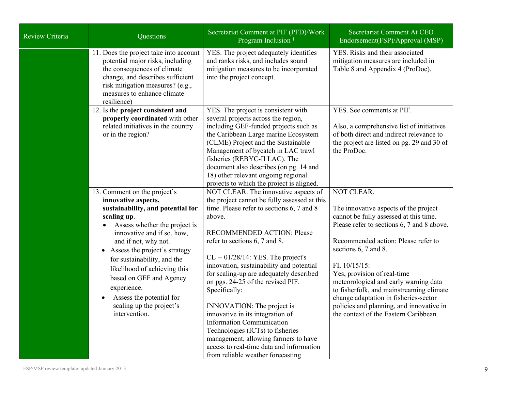| Review Criteria | Questions                                                                                                                                                                                                                                                                                                                                                                                                                      | Secretariat Comment at PIF (PFD)/Work<br>Program Inclusion <sup>1</sup>                                                                                                                                                                                                                                                                                                                                                                                                                                                                                                                                                                                                   | Secretariat Comment At CEO<br>Endorsement(FSP)/Approval (MSP)                                                                                                                                                                                                                                                                                                                                                                                                                           |
|-----------------|--------------------------------------------------------------------------------------------------------------------------------------------------------------------------------------------------------------------------------------------------------------------------------------------------------------------------------------------------------------------------------------------------------------------------------|---------------------------------------------------------------------------------------------------------------------------------------------------------------------------------------------------------------------------------------------------------------------------------------------------------------------------------------------------------------------------------------------------------------------------------------------------------------------------------------------------------------------------------------------------------------------------------------------------------------------------------------------------------------------------|-----------------------------------------------------------------------------------------------------------------------------------------------------------------------------------------------------------------------------------------------------------------------------------------------------------------------------------------------------------------------------------------------------------------------------------------------------------------------------------------|
|                 | 11. Does the project take into account<br>potential major risks, including<br>the consequences of climate<br>change, and describes sufficient<br>risk mitigation measures? (e.g.,<br>measures to enhance climate<br>resilience)                                                                                                                                                                                                | YES. The project adequately identifies<br>and ranks risks, and includes sound<br>mitigation measures to be incorporated<br>into the project concept.                                                                                                                                                                                                                                                                                                                                                                                                                                                                                                                      | YES. Risks and their associated<br>mitigation measures are included in<br>Table 8 and Appendix 4 (ProDoc).                                                                                                                                                                                                                                                                                                                                                                              |
|                 | 12. Is the project consistent and<br>properly coordinated with other<br>related initiatives in the country<br>or in the region?                                                                                                                                                                                                                                                                                                | YES. The project is consistent with<br>several projects across the region,<br>including GEF-funded projects such as<br>the Caribbean Large marine Ecosystem<br>(CLME) Project and the Sustainable<br>Management of bycatch in LAC trawl<br>fisheries (REBYC-II LAC). The<br>document also describes (on pg. 14 and<br>18) other relevant ongoing regional<br>projects to which the project is aligned.                                                                                                                                                                                                                                                                    | YES. See comments at PIF.<br>Also, a comprehensive list of initiatives<br>of both direct and indirect relevance to<br>the project are listed on pg. 29 and 30 of<br>the ProDoc.                                                                                                                                                                                                                                                                                                         |
|                 | 13. Comment on the project's<br>innovative aspects,<br>sustainability, and potential for<br>scaling up.<br>Assess whether the project is<br>innovative and if so, how,<br>and if not, why not.<br>Assess the project's strategy<br>$\bullet$<br>for sustainability, and the<br>likelihood of achieving this<br>based on GEF and Agency<br>experience.<br>Assess the potential for<br>scaling up the project's<br>intervention. | NOT CLEAR. The innovative aspects of<br>the project cannot be fully assessed at this<br>time. Please refer to sections 6, 7 and 8<br>above.<br>RECOMMENDED ACTION: Please<br>refer to sections 6, 7 and 8.<br>$CL - 01/28/14$ : YES. The project's<br>innovation, sustainability and potential<br>for scaling-up are adequately described<br>on pgs. 24-25 of the revised PIF.<br>Specifically:<br><b>INNOVATION:</b> The project is<br>innovative in its integration of<br><b>Information Communication</b><br>Technologies (ICTs) to fisheries<br>management, allowing farmers to have<br>access to real-time data and information<br>from reliable weather forecasting | <b>NOT CLEAR.</b><br>The innovative aspects of the project<br>cannot be fully assessed at this time.<br>Please refer to sections 6, 7 and 8 above.<br>Recommended action: Please refer to<br>sections 6, 7 and 8.<br>FI, $10/15/15$ :<br>Yes, provision of real-time<br>meteorological and early warning data<br>to fisherfolk, and mainstreaming climate<br>change adaptation in fisheries-sector<br>policies and planning, and innovative in<br>the context of the Eastern Caribbean. |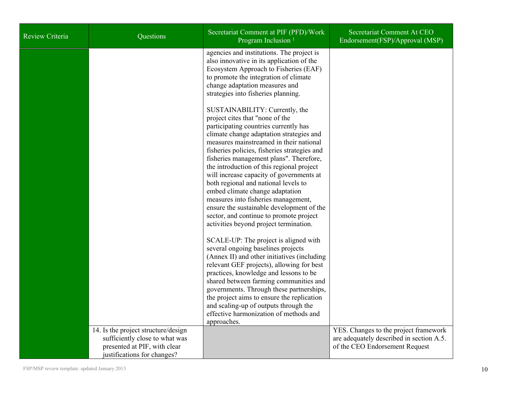| Review Criteria | Questions                                                                                                                            | Secretariat Comment at PIF (PFD)/Work<br>Program Inclusion <sup>1</sup>                                                                                                                                                                                                                                                                                                                                                                                                                                                                                                                                                                   | Secretariat Comment At CEO<br>Endorsement(FSP)/Approval (MSP)                                                       |
|-----------------|--------------------------------------------------------------------------------------------------------------------------------------|-------------------------------------------------------------------------------------------------------------------------------------------------------------------------------------------------------------------------------------------------------------------------------------------------------------------------------------------------------------------------------------------------------------------------------------------------------------------------------------------------------------------------------------------------------------------------------------------------------------------------------------------|---------------------------------------------------------------------------------------------------------------------|
|                 |                                                                                                                                      | agencies and institutions. The project is<br>also innovative in its application of the<br>Ecosystem Approach to Fisheries (EAF)<br>to promote the integration of climate<br>change adaptation measures and<br>strategies into fisheries planning.                                                                                                                                                                                                                                                                                                                                                                                         |                                                                                                                     |
|                 |                                                                                                                                      | SUSTAINABILITY: Currently, the<br>project cites that "none of the<br>participating countries currently has<br>climate change adaptation strategies and<br>measures mainstreamed in their national<br>fisheries policies, fisheries strategies and<br>fisheries management plans". Therefore,<br>the introduction of this regional project<br>will increase capacity of governments at<br>both regional and national levels to<br>embed climate change adaptation<br>measures into fisheries management,<br>ensure the sustainable development of the<br>sector, and continue to promote project<br>activities beyond project termination. |                                                                                                                     |
|                 |                                                                                                                                      | SCALE-UP: The project is aligned with<br>several ongoing baselines projects<br>(Annex II) and other initiatives (including<br>relevant GEF projects), allowing for best<br>practices, knowledge and lessons to be<br>shared between farming communities and<br>governments. Through these partnerships,<br>the project aims to ensure the replication<br>and scaling-up of outputs through the<br>effective harmonization of methods and<br>approaches.                                                                                                                                                                                   |                                                                                                                     |
|                 | 14. Is the project structure/design<br>sufficiently close to what was<br>presented at PIF, with clear<br>justifications for changes? |                                                                                                                                                                                                                                                                                                                                                                                                                                                                                                                                                                                                                                           | YES. Changes to the project framework<br>are adequately described in section A.5.<br>of the CEO Endorsement Request |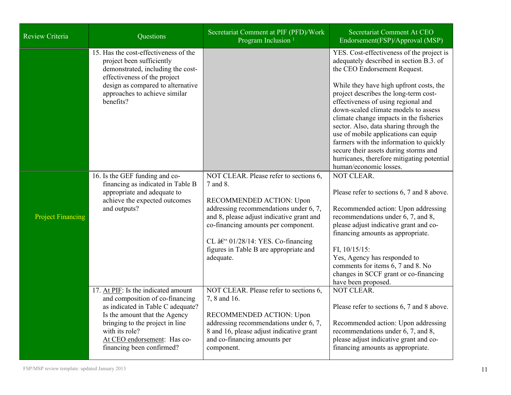| Review Criteria          | Questions                                                                                                                                                                                                                                                     | Secretariat Comment at PIF (PFD)/Work<br>Program Inclusion <sup>1</sup>                                                                                                                                                                                                                                              | Secretariat Comment At CEO<br>Endorsement(FSP)/Approval (MSP)                                                                                                                                                                                                                                                                                                                                                                                                                                                                                          |
|--------------------------|---------------------------------------------------------------------------------------------------------------------------------------------------------------------------------------------------------------------------------------------------------------|----------------------------------------------------------------------------------------------------------------------------------------------------------------------------------------------------------------------------------------------------------------------------------------------------------------------|--------------------------------------------------------------------------------------------------------------------------------------------------------------------------------------------------------------------------------------------------------------------------------------------------------------------------------------------------------------------------------------------------------------------------------------------------------------------------------------------------------------------------------------------------------|
|                          | 15. Has the cost-effectiveness of the<br>project been sufficiently<br>demonstrated, including the cost-<br>effectiveness of the project<br>design as compared to alternative<br>approaches to achieve similar<br>benefits?                                    |                                                                                                                                                                                                                                                                                                                      | YES. Cost-effectiveness of the project is<br>adequately described in section B.3. of<br>the CEO Endorsement Request.<br>While they have high upfront costs, the<br>project describes the long-term cost-<br>effectiveness of using regional and<br>down-scaled climate models to assess<br>climate change impacts in the fisheries<br>sector. Also, data sharing through the<br>use of mobile applications can equip<br>farmers with the information to quickly<br>secure their assets during storms and<br>hurricanes, therefore mitigating potential |
|                          |                                                                                                                                                                                                                                                               |                                                                                                                                                                                                                                                                                                                      | human/economic losses.                                                                                                                                                                                                                                                                                                                                                                                                                                                                                                                                 |
| <b>Project Financing</b> | 16. Is the GEF funding and co-<br>financing as indicated in Table B<br>appropriate and adequate to<br>achieve the expected outcomes<br>and outputs?                                                                                                           | NOT CLEAR. Please refer to sections 6,<br>7 and 8.<br>RECOMMENDED ACTION: Upon<br>addressing recommendations under 6, 7,<br>and 8, please adjust indicative grant and<br>co-financing amounts per component.<br>CL $\hat{a}\in$ ° 01/28/14: YES. Co-financing<br>figures in Table B are appropriate and<br>adequate. | NOT CLEAR.<br>Please refer to sections 6, 7 and 8 above.<br>Recommended action: Upon addressing<br>recommendations under 6, 7, and 8,<br>please adjust indicative grant and co-<br>financing amounts as appropriate.<br>FI, $10/15/15$ :<br>Yes, Agency has responded to<br>comments for items 6, 7 and 8. No<br>changes in SCCF grant or co-financing<br>have been proposed.                                                                                                                                                                          |
|                          | 17. At PIF: Is the indicated amount<br>and composition of co-financing<br>as indicated in Table C adequate?<br>Is the amount that the Agency<br>bringing to the project in line<br>with its role?<br>At CEO endorsement: Has co-<br>financing been confirmed? | NOT CLEAR. Please refer to sections 6,<br>7, 8 and 16.<br>RECOMMENDED ACTION: Upon<br>addressing recommendations under 6, 7,<br>8 and 16, please adjust indicative grant<br>and co-financing amounts per<br>component.                                                                                               | NOT CLEAR.<br>Please refer to sections 6, 7 and 8 above.<br>Recommended action: Upon addressing<br>recommendations under 6, 7, and 8,<br>please adjust indicative grant and co-<br>financing amounts as appropriate.                                                                                                                                                                                                                                                                                                                                   |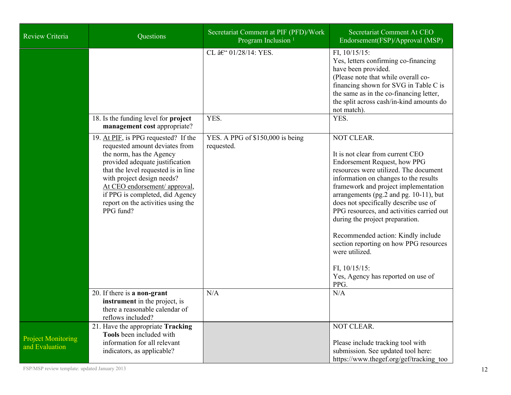| Review Criteria                             | Questions                                                                                                                                                                                                                                                                                                                         | Secretariat Comment at PIF (PFD)/Work<br>Program Inclusion <sup>1</sup> | Secretariat Comment At CEO<br>Endorsement(FSP)/Approval (MSP)                                                                                                                                                                                                                                                                                                                                                                                                                                                                                          |
|---------------------------------------------|-----------------------------------------------------------------------------------------------------------------------------------------------------------------------------------------------------------------------------------------------------------------------------------------------------------------------------------|-------------------------------------------------------------------------|--------------------------------------------------------------------------------------------------------------------------------------------------------------------------------------------------------------------------------------------------------------------------------------------------------------------------------------------------------------------------------------------------------------------------------------------------------------------------------------------------------------------------------------------------------|
|                                             |                                                                                                                                                                                                                                                                                                                                   | CL – 01/28/14: YES.                                                     | FI, $10/15/15$ :<br>Yes, letters confirming co-financing<br>have been provided.<br>(Please note that while overall co-<br>financing shown for SVG in Table C is<br>the same as in the co-financing letter,<br>the split across cash/in-kind amounts do<br>not match).                                                                                                                                                                                                                                                                                  |
|                                             | 18. Is the funding level for project<br>management cost appropriate?                                                                                                                                                                                                                                                              | YES.                                                                    | YES.                                                                                                                                                                                                                                                                                                                                                                                                                                                                                                                                                   |
|                                             | 19. At PIF, is PPG requested? If the<br>requested amount deviates from<br>the norm, has the Agency<br>provided adequate justification<br>that the level requested is in line<br>with project design needs?<br>At CEO endorsement/ approval,<br>if PPG is completed, did Agency<br>report on the activities using the<br>PPG fund? | YES. A PPG of \$150,000 is being<br>requested.                          | <b>NOT CLEAR.</b><br>It is not clear from current CEO<br>Endorsement Request, how PPG<br>resources were utilized. The document<br>information on changes to the results<br>framework and project implementation<br>arrangements (pg.2 and pg. 10-11), but<br>does not specifically describe use of<br>PPG resources, and activities carried out<br>during the project preparation.<br>Recommended action: Kindly include<br>section reporting on how PPG resources<br>were utilized.<br>FI, $10/15/15$ :<br>Yes, Agency has reported on use of<br>PPG. |
|                                             | 20. If there is a non-grant<br>instrument in the project, is<br>there a reasonable calendar of<br>reflows included?                                                                                                                                                                                                               | N/A                                                                     | N/A                                                                                                                                                                                                                                                                                                                                                                                                                                                                                                                                                    |
| <b>Project Monitoring</b><br>and Evaluation | 21. Have the appropriate Tracking<br>Tools been included with<br>information for all relevant<br>indicators, as applicable?                                                                                                                                                                                                       |                                                                         | NOT CLEAR.<br>Please include tracking tool with<br>submission. See updated tool here:<br>https://www.thegef.org/gef/tracking too                                                                                                                                                                                                                                                                                                                                                                                                                       |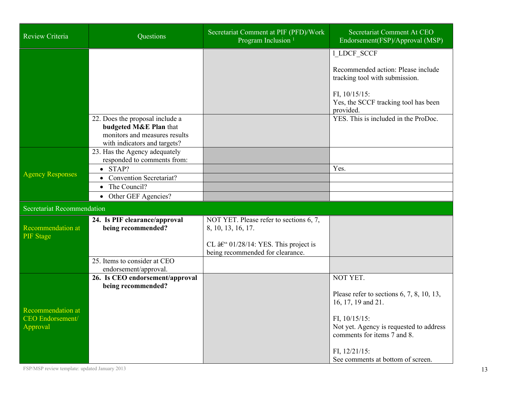| Review Criteria                                                 | Questions                                                                                                                  | Secretariat Comment at PIF (PFD)/Work<br>Program Inclusion <sup>1</sup>            | Secretariat Comment At CEO<br>Endorsement(FSP)/Approval (MSP)                                           |  |  |
|-----------------------------------------------------------------|----------------------------------------------------------------------------------------------------------------------------|------------------------------------------------------------------------------------|---------------------------------------------------------------------------------------------------------|--|--|
|                                                                 |                                                                                                                            |                                                                                    | 1_LDCF_SCCF<br>Recommended action: Please include<br>tracking tool with submission.<br>FI, $10/15/15$ : |  |  |
|                                                                 |                                                                                                                            |                                                                                    | Yes, the SCCF tracking tool has been<br>provided.                                                       |  |  |
|                                                                 | 22. Does the proposal include a<br>budgeted M&E Plan that<br>monitors and measures results<br>with indicators and targets? |                                                                                    | YES. This is included in the ProDoc.                                                                    |  |  |
| <b>Agency Responses</b>                                         | 23. Has the Agency adequately<br>responded to comments from:                                                               |                                                                                    |                                                                                                         |  |  |
|                                                                 | $\bullet$ STAP?                                                                                                            |                                                                                    | Yes.                                                                                                    |  |  |
|                                                                 | <b>Convention Secretariat?</b><br>$\bullet$                                                                                |                                                                                    |                                                                                                         |  |  |
|                                                                 | The Council?                                                                                                               |                                                                                    |                                                                                                         |  |  |
|                                                                 | • Other GEF Agencies?                                                                                                      |                                                                                    |                                                                                                         |  |  |
| <b>Secretariat Recommendation</b>                               |                                                                                                                            |                                                                                    |                                                                                                         |  |  |
| Recommendation at<br><b>PIF</b> Stage                           | 24. Is PIF clearance/approval<br>being recommended?                                                                        | NOT YET. Please refer to sections 6, 7,<br>8, 10, 13, 16, 17.                      |                                                                                                         |  |  |
|                                                                 |                                                                                                                            | CL $\hat{a}\in$ 01/28/14: YES. This project is<br>being recommended for clearance. |                                                                                                         |  |  |
|                                                                 | 25. Items to consider at CEO<br>endorsement/approval.                                                                      |                                                                                    |                                                                                                         |  |  |
| <b>Recommendation at</b><br><b>CEO</b> Endorsement/<br>Approval | 26. Is CEO endorsement/approval                                                                                            |                                                                                    | NOT YET.                                                                                                |  |  |
|                                                                 | being recommended?                                                                                                         |                                                                                    | Please refer to sections $6, 7, 8, 10, 13,$<br>16, 17, 19 and 21.                                       |  |  |
|                                                                 |                                                                                                                            |                                                                                    | FI, $10/15/15$ :<br>Not yet. Agency is requested to address<br>comments for items 7 and 8.              |  |  |
|                                                                 |                                                                                                                            |                                                                                    | FI, $12/21/15$ :<br>See comments at bottom of screen.                                                   |  |  |